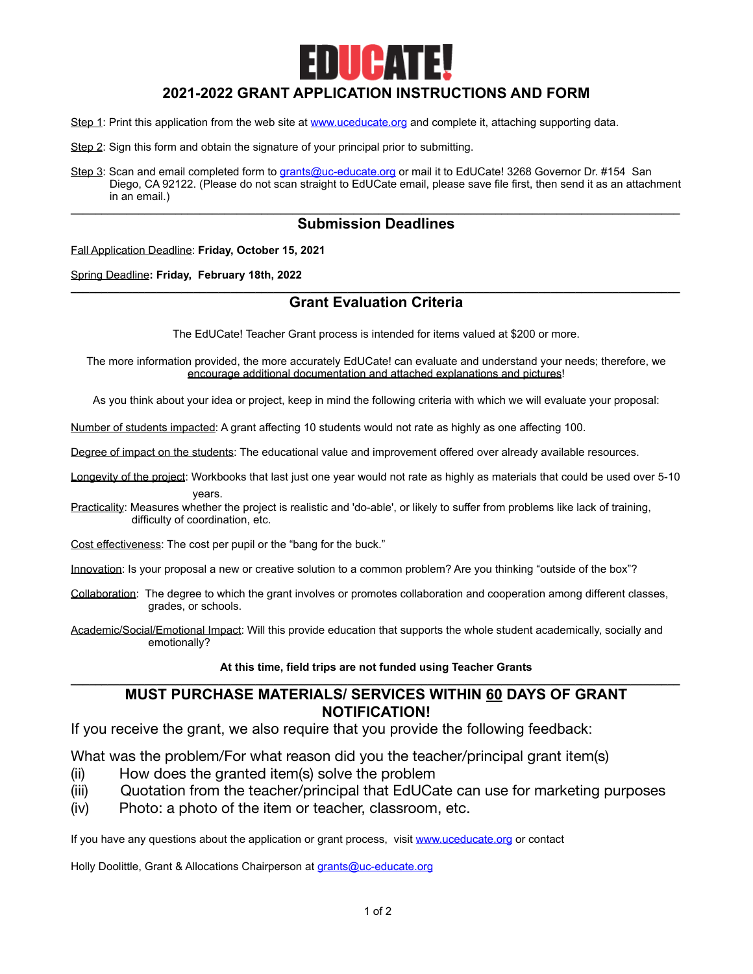

# **2021-2022 GRANT APPLICATION INSTRUCTIONS AND FORM**

- Step 1: Print this application from the web site at [www.uceducate.org](http://www.uc-educate.org) and complete it, attaching supporting data.
- Step 2: Sign this form and obtain the signature of your principal prior to submitting.
- Step 3: Scan and email completed form to [grants@uc-educate.org](mailto:grants@uc-educate.org) or mail it to EdUCate! 3268 Governor Dr. #154 San Diego, CA 92122. (Please do not scan straight to EdUCate email, please save file first, then send it as an attachment in an email.)

### **\_\_\_\_\_\_\_\_\_\_\_\_\_\_\_\_\_\_\_\_\_\_\_\_\_\_\_\_\_\_\_\_\_\_\_\_\_\_\_\_\_\_\_\_\_\_\_\_\_\_\_\_\_\_\_\_\_\_\_\_\_\_\_\_\_\_\_\_\_\_\_\_\_\_\_\_\_\_\_\_\_\_\_\_\_\_\_\_\_\_\_\_\_\_\_\_\_\_\_ Submission Deadlines**

Fall Application Deadline: **Friday, October 15, 2021** 

Spring Deadline**: Friday, February 18th, 2022**

### **\_\_\_\_\_\_\_\_\_\_\_\_\_\_\_\_\_\_\_\_\_\_\_\_\_\_\_\_\_\_\_\_\_\_\_\_\_\_\_\_\_\_\_\_\_\_\_\_\_\_\_\_\_\_\_\_\_\_\_\_\_\_\_\_\_\_\_\_\_\_\_\_\_\_\_\_\_\_\_\_\_\_\_\_\_\_\_\_\_\_\_\_\_\_\_\_\_\_\_ Grant Evaluation Criteria**

The EdUCate! Teacher Grant process is intended for items valued at \$200 or more.

The more information provided, the more accurately EdUCate! can evaluate and understand your needs; therefore, we encourage additional documentation and attached explanations and pictures!

As you think about your idea or project, keep in mind the following criteria with which we will evaluate your proposal:

Number of students impacted: A grant affecting 10 students would not rate as highly as one affecting 100.

Degree of impact on the students: The educational value and improvement offered over already available resources.

Longevity of the project: Workbooks that last just one year would not rate as highly as materials that could be used over 5-10

years.

Practicality: Measures whether the project is realistic and 'do-able', or likely to suffer from problems like lack of training, difficulty of coordination, etc.

Cost effectiveness: The cost per pupil or the "bang for the buck."

Innovation: Is your proposal a new or creative solution to a common problem? Are you thinking "outside of the box"?

Collaboration: The degree to which the grant involves or promotes collaboration and cooperation among different classes, grades, or schools.

Academic/Social/Emotional Impact: Will this provide education that supports the whole student academically, socially and emotionally?

#### **At this time, field trips are not funded using Teacher Grants \_\_\_\_\_\_\_\_\_\_\_\_\_\_\_\_\_\_\_\_\_\_\_\_\_\_\_\_\_\_\_\_\_\_\_\_\_\_\_\_\_\_\_\_\_\_\_\_\_\_\_\_\_\_\_\_\_\_\_\_\_\_\_\_\_\_\_\_\_\_\_\_\_\_\_\_\_\_\_\_\_\_\_\_\_\_\_\_\_\_\_\_\_\_\_\_\_\_\_**

# **MUST PURCHASE MATERIALS/ SERVICES WITHIN 60 DAYS OF GRANT NOTIFICATION!**

If you receive the grant, we also require that you provide the following feedback:

What was the problem/For what reason did you the teacher/principal grant item(s)

- (ii) How does the granted item(s) solve the problem
- (iii) Quotation from the teacher/principal that EdUCate can use for marketing purposes
- (iv) Photo: a photo of the item or teacher, classroom, etc.

If you have any questions about the application or grant process, visit [www.uceducate.org](http://www.uc-educate.org) or contact

Holly Doolittle, Grant & Allocations Chairperson at [grants@uc-educate.org](mailto:grants@uc-educate.org)